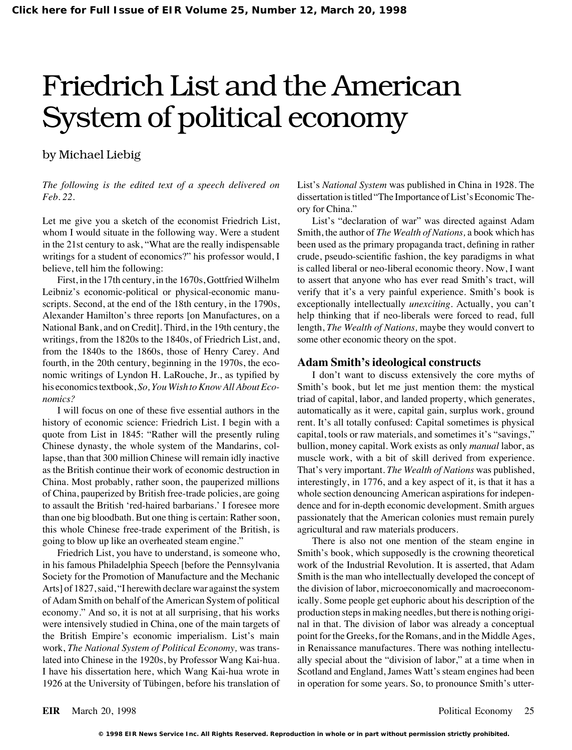# Friedrich List and the American System of political economy

## by Michael Liebig

Let me give you a sketch of the economist Friedrich List, List's "declaration of war" was directed against Adam whom I would situate in the following way. Were a student Smith, the author of *The Wealth of Nations*, a book which has in the 21st century to ask, "What are the really indispensable been used as the primary propaganda tract, defining in rather writings for a student of economics?" his professor would, I crude, pseudo-scientific fashion, the key paradigms in what believe, tell him the following: is called liberal or neo-liberal economic theory. Now, I want

Leibniz's economic-political or physical-economic manu-<br>verify that it's a very painful experience. Smith's book is Alexander Hamilton's three reports [on Manufactures, on a help thinking that if neo-liberals were forced to read, full National Bank, and on Credit]. Third, in the 19th century, the length, *The Wealth of Nations,* maybe they would convert to writings, from the 1820s to the 1840s, of Friedrich List, and, some other economic theory on the spot. from the 1840s to the 1860s, those of Henry Carey. And fourth, in the 20th century, beginning in the 1970s, the eco- **Adam Smith's ideological constructs** nomic writings of Lyndon H. LaRouche, Jr., as typified by I don't want to discuss extensively the core myths of his economics textbook, *So, You Wish to Know All About Eco-* Smith's book, but let me just mention them: the mystical *nomics?* triad of capital, labor, and landed property, which generates,

history of economic science: Friedrich List. I begin with a rent. It's all totally confused: Capital sometimes is physical quote from List in 1845: "Rather will the presently ruling capital, tools or raw materials, and sometimes it's "savings," Chinese dynasty, the whole system of the Mandarins, col- bullion, money capital. Work exists as only *manual* labor, as lapse, than that 300 million Chinese will remain idly inactive muscle work, with a bit of skill derived from experience. as the British continue their work of economic destruction in That's very important. *The Wealth of Nations* was published, China. Most probably, rather soon, the pauperized millions interestingly, in 1776, and a key aspect of it, is that it has a of China, pauperized by British free-trade policies, are going whole section denouncing American aspirations for indepento assault the British 'red-haired barbarians.' I foresee more dence and for in-depth economic development. Smith argues than one big bloodbath. But one thing is certain: Rather soon, passionately that the American colonies must remain purely this whole Chinese free-trade experiment of the British, is agricultural and raw materials producers. going to blow up like an overheated steam engine." There is also not one mention of the steam engine in

in his famous Philadelphia Speech [before the Pennsylvania work of the Industrial Revolution. It is asserted, that Adam Society for the Promotion of Manufacture and the Mechanic Smith is the man who intellectually developed the concept of Arts] of 1827, said, "I herewith declare war against the system the division of labor, microeconomically and macroeconomof Adam Smith on behalf of the American System of political ically. Some people get euphoric about his description of the economy." And so, it is not at all surprising, that his works production steps in making needles, but there is nothing origiwere intensively studied in China, one of the main targets of nal in that. The division of labor was already a conceptual the British Empire's economic imperialism. List's main point for the Greeks, for the Romans, and in the Middle Ages, work, *The National System of Political Economy*, was trans- in Renaissance manufactures. There was nothing intellectulated into Chinese in the 1920s, by Professor Wang Kai-hua. ally special about the "division of labor," at a time when in I have his dissertation here, which Wang Kai-hua wrote in Scotland and England, James Watt's steam engines had been 1926 at the University of Tübingen, before his translation of in operation for some years. So, to pronounce Smith's utter-

*The following is the edited text of a speech delivered on* List's *National System* was published in China in 1928. The *Feb. 22.* dissertation is titled "The Importance of List's Economic Theory for China."

First, in the 17th century, in the 1670s, Gottfried Wilhelm to assert that anyone who has ever read Smith's tract, will scripts. Second, at the end of the 18th century, in the 1790s, exceptionally intellectually *unexciting.* Actually, you can't

I will focus on one of these five essential authors in the automatically as it were, capital gain, surplus work, ground

Friedrich List, you have to understand, is someone who, Smith's book, which supposedly is the crowning theoretical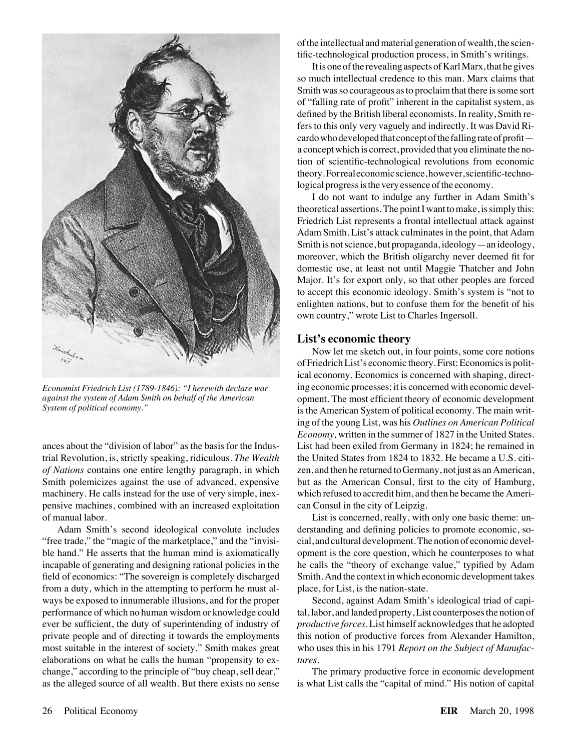

pensive machines, combined with an increased exploitation can Consul in the city of Leipzig. of manual labor. List is concerned, really, with only one basic theme: un-

from a duty, which in the attempting to perform he must al-<br>place, for List, is the nation-state. ways be exposed to innumerable illusions, and for the proper Second, against Adam Smith's ideological triad of capielaborations on what he calls the human "propensity to ex- *tures.*

of the intellectual and material generation of wealth, the scientific-technological production process, in Smith's writings.

It is one of the revealing aspects of Karl Marx, that he gives so much intellectual credence to this man. Marx claims that Smith was so courageous as to proclaim that there is some sort of "falling rate of profit" inherent in the capitalist system, as defined by the British liberal economists. In reality, Smith refers to this only very vaguely and indirectly. It was David Ricardo who developed that concept of the falling rate of profit a concept which is correct, provided that you eliminate the notion of scientific-technological revolutions from economic theory.Forrealeconomicscience,however,scientific-technological progress is the very essence of the economy.

I do not want to indulge any further in Adam Smith's theoretical assertions. The point I want to make, is simply this: Friedrich List represents a frontal intellectual attack against Adam Smith. List's attack culminates in the point, that Adam Smith is not science, but propaganda, ideology—an ideology, moreover, which the British oligarchy never deemed fit for domestic use, at least not until Maggie Thatcher and John Major. It's for export only, so that other peoples are forced to accept this economic ideology. Smith's system is "not to enlighten nations, but to confuse them for the benefit of his own country," wrote List to Charles Ingersoll.

### **List's economic theory**

Now let me sketch out, in four points, some core notions of Friedrich List's economic theory. First: Economics is political economy. Economics is concerned with shaping, direct-*Economist Friedrich List (1789-1846): "I herewith declare war* ing economic processes; it is concerned with economic devel-<br>against the system of Adam Smith on behalf of the American opment. The most efficient theory of e *against the system of Adam Smith on behalf of the American* opment. The most efficient theory of economic development<br>System of political economy."<br>is the American System of political economy. The main writis the American System of political economy. The main writing of the young List, was his *Outlines on American Political Economy,* written in the summer of 1827 in the United States. ances about the "division of labor" as the basis for the Indus- List had been exiled from Germany in 1824; he remained in trial Revolution, is, strictly speaking, ridiculous. *The Wealth* the United States from 1824 to 1832. He became a U.S. citi*of Nations* contains one entire lengthy paragraph, in which zen, and then he returned to Germany, not just as an American, Smith polemicizes against the use of advanced, expensive but as the American Consul, first to the city of Hamburg, machinery. He calls instead for the use of very simple, inex- which refused to accredit him, and then he became the Ameri-

Adam Smith's second ideological convolute includes derstanding and defining policies to promote economic, so- "free trade," the "magic of the marketplace," and the "invisi- cial, and cultural development. The notion of economic develble hand." He asserts that the human mind is axiomatically opment is the core question, which he counterposes to what incapable of generating and designing rational policies in the he calls the "theory of exchange value," typified by Adam field of economics: "The sovereign is completely discharged Smith. And the context in which economic development takes

performance of which no human wisdom or knowledge could tal, labor, and landed property, List counterposes the notion of ever be sufficient, the duty of superintending of industry of *productive forces.* List himself acknowledges that he adopted private people and of directing it towards the employments this notion of productive forces from Alexander Hamilton, most suitable in the interest of society." Smith makes great who uses this in his 1791 *Report on the Subject of Manufac-*

change," according to the principle of "buy cheap, sell dear," The primary productive force in economic development as the alleged source of all wealth. But there exists no sense is what List calls the "capital of mind." His notion of capital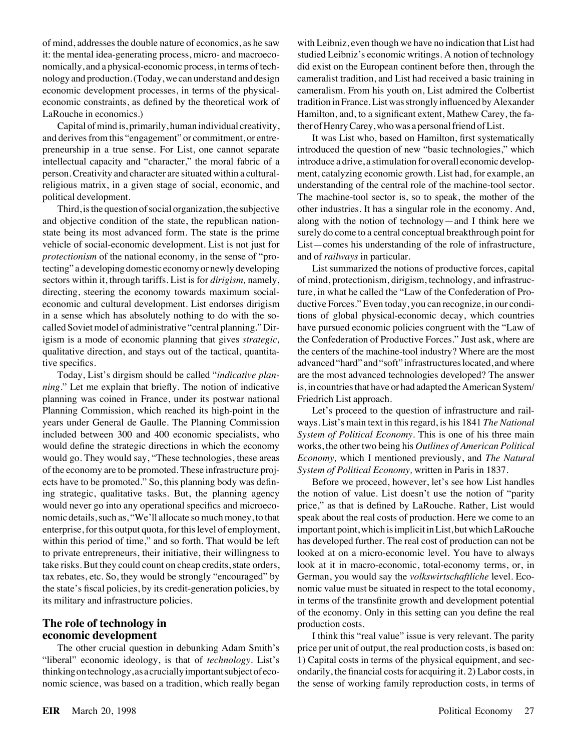it: the mental idea-generating process, micro- and macroeco- studied Leibniz's economic writings. A notion of technology nomically, and a physical-economic process, in terms of tech- did exist on the European continent before then, through the nology and production. (Today, we can understand and design cameralist tradition, and List had received a basic training in economic development processes, in terms of the physical- cameralism. From his youth on, List admired the Colbertist LaRouche in economics.) Hamilton, and, to a significant extent, Mathew Carey, the fa-

Capital of mind is, primarily, human individual creativity, ther of Henry Carey, who was a personal friend of List. and derives from this "engagement" or commitment, or entre- It was List who, based on Hamilton, first systematically preneurship in a true sense. For List, one cannot separate introduced the question of new "basic technologies," which intellectual capacity and "character," the moral fabric of a introduce a drive, a stimulation for overall economic developperson. Creativity and character are situated within a cultural- ment, catalyzing economic growth. List had, for example, an religious matrix, in a given stage of social, economic, and understanding of the central role of the machine-tool sector. political development. The machine-tool sector is, so to speak, the mother of the

and objective condition of the state, the republican nation- along with the notion of technology—and I think here we state being its most advanced form. The state is the prime surely do come to a central conceptual breakthrough point for vehicle of social-economic development. List is not just for List—comes his understanding of the role of infrastructure, *protectionism* of the national economy, in the sense of "pro- and of *railways* in particular. tecting" a developing domestic economy or newly developing List summarized the notions of productive forces, capital sectors within it, through tariffs. List is for *dirigism*, namely, of mind, protectionism, dirigism, technology, and infrastrucdirecting, steering the economy towards maximum social-<br>ture, in what he called the "Law of the Confederation of Proeconomic and cultural development. List endorses dirigism ductive Forces." Even today, you can recognize, in our condiin a sense which has absolutely nothing to do with the so- tions of global physical-economic decay, which countries called Soviet model of administrative "central planning." Dir- have pursued economic policies congruent with the "Law of igism is a mode of economic planning that gives *strategic,* the Confederation of Productive Forces." Just ask, where are qualitative direction, and stays out of the tactical, quantita- the centers of the machine-tool industry? Where are the most tive specifics. advanced "hard" and "soft" infrastructures located, and where

*ning.*" Let me explain that briefly. The notion of indicative is, in countries that have or had adapted the American System/ planning was coined in France, under its postwar national Friedrich List approach. Planning Commission, which reached its high-point in the Let's proceed to the question of infrastructure and railyears under General de Gaulle. The Planning Commission ways. List's main text in this regard, is his 1841 *The National* included between 300 and 400 economic specialists, who *System of Political Economy.* This is one of his three main would define the strategic directions in which the economy works, the other two being his *Outlines of American Political* would go. They would say, "These technologies, these areas *Economy,* which I mentioned previously, and *The Natural* of the economy are to be promoted. These infrastructure proj- *System of Political Economy,* written in Paris in 1837. ects have to be promoted." So, this planning body was defin- Before we proceed, however, let's see how List handles ing strategic, qualitative tasks. But, the planning agency the notion of value. List doesn't use the notion of "parity would never go into any operational specifics and microeco-<br>price," as that is defined by LaRouche. Rather, List would nomic details, such as, "We'll allocate so much money, to that speak about the real costs of production. Here we come to an enterprise, for this output quota, for this level of employment, important point, which is implicit in List, but which LaRouche within this period of time," and so forth. That would be left has developed further. The real cost of production can not be to private entrepreneurs, their initiative, their willingness to looked at on a micro-economic level. You have to always take risks. But they could count on cheap credits, state orders, look at it in macro-economic, total-economy terms, or, in tax rebates, etc. So, they would be strongly "encouraged" by German, you would say the *volkswirtschaftliche* level. Ecothe state's fiscal policies, by its credit-generation policies, by nomic value must be situated in respect to the total economy, its military and infrastructure policies. in terms of the transfinite growth and development potential

## **The role of technology in** production costs.

"liberal" economic ideology, is that of *technology.* List's 1) Capital costs in terms of the physical equipment, and secthinkingontechnology,asacruciallyimportantsubjectofeco- ondarily, the financial costs for acquiring it. 2) Labor costs, in nomic science, was based on a tradition, which really began the sense of working family reproduction costs, in terms of

of mind, addresses the double nature of economics, as he saw with Leibniz, even though we have no indication that List had economic constraints, as defined by the theoretical work of tradition in France. List was strongly influenced by Alexander

Third, is the question of social organization, the subjective other industries. It has a singular role in the economy. And,

Today, List's dirgism should be called "*indicative plan-* are the most advanced technologies developed? The answer

of the economy. Only in this setting can you define the real

**economic development I** think this "real value" issue is very relevant. The parity The other crucial question in debunking Adam Smith's price per unit of output, the real production costs, is based on: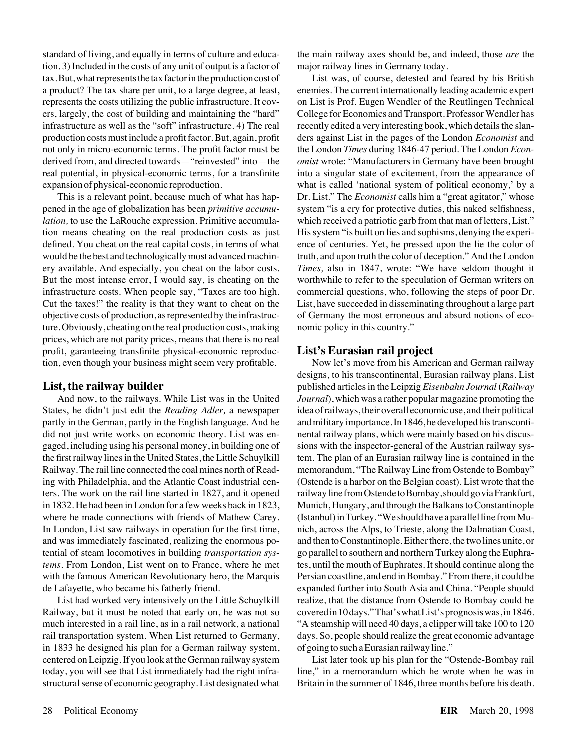tion. 3) Included in the costs of any unit of output is a factor of major railway lines in Germany today. tax.But,whatrepresentsthetaxfactorintheproductioncostof List was, of course, detested and feared by his British a product? The tax share per unit, to a large degree, at least, enemies. The current internationally leading academic expert represents the costs utilizing the public infrastructure. It cov- on List is Prof. Eugen Wendler of the Reutlingen Technical ers, largely, the cost of building and maintaining the "hard" College for Economics and Transport. Professor Wendler has infrastructure as well as the "soft" infrastructure. 4) The real recently edited a very interesting book, which details the slanproduction costs must include a profit factor. But, again, profit ders against List in the pages of the London *Economist* and not only in micro-economic terms. The profit factor must be the London *Times* during 1846-47 period. The London *Econ*derived from, and directed towards—"reinvested" into—the *omist* wrote: "Manufacturers in Germany have been brought real potential, in physical-economic terms, for a transfinite into a singular state of excitement, from the appearance of

pened in the age of globalization has been *primitive accumu-* system "is a cry for protective duties, this naked selfishness, *lation*, to use the LaRouche expression. Primitive accumula-<br>which received a patriotic garb from that man of letters, List." tion means cheating on the real production costs as just His system "is built on lies and sophisms, denying the experidefined. You cheat on the real capital costs, in terms of what ence of centuries. Yet, he pressed upon the lie the color of would be the best and technologically most advanced machin- truth, and upon truth the color of deception." And the London ery available. And especially, you cheat on the labor costs. *Times,* also in 1847, wrote: "We have seldom thought it But the most intense error, I would say, is cheating on the worthwhile to refer to the speculation of German writers on infrastructure costs. When people say, "Taxes are too high. commercial questions, who, following the steps of poor Dr. Cut the taxes!" the reality is that they want to cheat on the List, have succeeded in disseminating throughout a large part objective costs of production, as represented by the infrastruc- of Germany the most erroneous and absurd notions of ecoture. Obviously, cheating on the real production costs, making nomic policy in this country." prices, which are not parity prices, means that there is no real profit, garanteeing transfinite physical-economic reproduc- **List's Eurasian rail project** tion, even though your business might seem very profitable. Now let's move from his American and German railway

States, he didn't just edit the *Reading Adler,* a newspaper idea of railways, their overall economic use, and their political partly in the German, partly in the English language. And he and military importance. In 1846, he developed his transcontidid not just write works on economic theory. List was en- nental railway plans, which were mainly based on his discusgaged, including using his personal money, in building one of sions with the inspector-general of the Austrian railway systhe first railway lines in the United States, the Little Schuylkill tem. The plan of an Eurasian railway line is contained in the Railway. The rail line connected the coal mines north of Read- memorandum, "The Railway Line from Ostende to Bombay" ing with Philadelphia, and the Atlantic Coast industrial cen- (Ostende is a harbor on the Belgian coast). List wrote that the ters. The work on the rail line started in 1827, and it opened railwaylinefromOstendetoBombay,shouldgoviaFrankfurt, in 1832. He had been in London for a few weeks back in 1823, Munich, Hungary, and through the Balkans to Constantinople where he made connections with friends of Mathew Carey. (Istanbul) in Turkey. "We should have a parallel line from Mu-In London, List saw railways in operation for the first time, nich, across the Alps, to Trieste, along the Dalmatian Coast, and was immediately fascinated, realizing the enormous po- and then to Constantinople. Either there, the two lines unite, or tential of steam locomotives in building *transportation sys-* go parallel to southern and northern Turkey along the Euphra*tems*. From London, List went on to France, where he met tes, until the mouth of Euphrates. It should continue along the with the famous American Revolutionary hero, the Marquis Persian coastline, and end in Bombay." From there, it could be de Lafayette, who became his fatherly friend. expanded further into South Asia and China. "People should

Railway, but it must be noted that early on, he was not so covered in 10 days."That's what List's prognosis was, in 1846. much interested in a rail line, as in a rail network, a national "A steamship will need 40 days, a clipper will take 100 to 120 rail transportation system. When List returned to Germany, days. So, people should realize the great economic advantage in 1833 he designed his plan for a German railway system, of going to such a Eurasian railway line." centered on Leipzig. If you look at the German railway system List later took up his plan for the "Ostende-Bombay rail today, you will see that List immediately had the right infra- line," in a memorandum which he wrote when he was in structural sense of economic geography. List designated what Britain in the summer of 1846, three months before his death.

standard of living, and equally in terms of culture and educa- the main railway axes should be, and indeed, those *are* the

expansion of physical-economic reproduction. what is called 'national system of political economy,' by a This is a relevant point, because much of what has hap- Dr. List." The *Economist* calls him a "great agitator," whose

designs, to his transcontinental, Eurasian railway plans. List **List, the railway builder** published articles in the Leipzig *Eisenbahn Journal* (*Railway* And now, to the railways. While List was in the United *Journal*), which was a rather popular magazine promoting the List had worked very intensively on the Little Schuylkill realize, that the distance from Ostende to Bombay could be